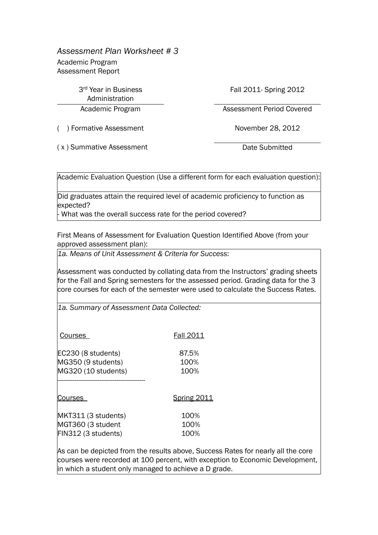*Assessment Plan Worksheet # 3*

Academic Program Assessment Report

> 3rd Year in Business Administration

() Formative Assessment November 28, 2012

Fall 2011- Spring 2012

Academic Program Assessment Period Covered

(x) Summative Assessment Date Submitted

Academic Evaluation Question (Use a different form for each evaluation question):

Did graduates attain the required level of academic proficiency to function as expected?

What was the overall success rate for the period covered?

First Means of Assessment for Evaluation Question Identified Above (from your approved assessment plan):

*1a. Means of Unit Assessment & Criteria for Success*:

Assessment was conducted by collating data from the Instructors' grading sheets for the Fall and Spring semesters for the assessed period. Grading data for the 3 core courses for each of the semester were used to calculate the Success Rates.

*1a. Summary of Assessment Data Collected:*

| Courses             | <b>Fall 2011</b>   |
|---------------------|--------------------|
| EC230 (8 students)  | 87.5%              |
| MG350 (9 students)  | 100%               |
| MG320 (10 students) | 100%               |
| Courses             | <b>Spring 2011</b> |
| MKT311 (3 students) | 100%               |
| MGT360 (3 student   | 100%               |

FIN312 (3 students) 100%

As can be depicted from the results above, Success Rates for nearly all the core courses were recorded at 100 percent, with exception to Economic Development, in which a student only managed to achieve a D grade.